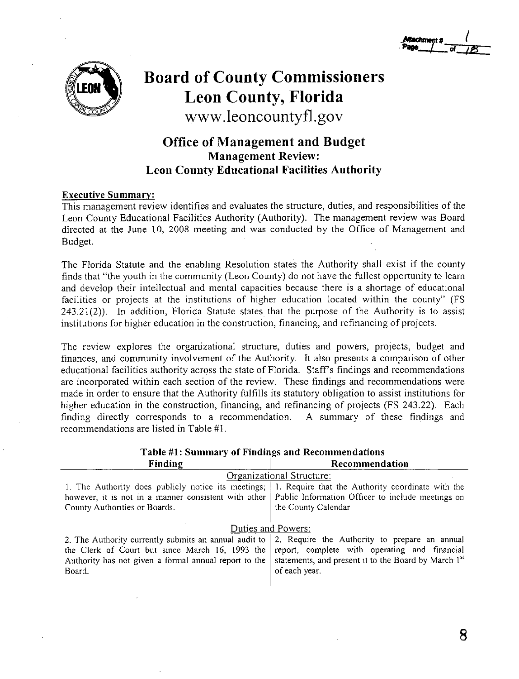

# **Board of County Commissioners Leon County, Florida www.leoncountyfl.gov**

## **Office of Management and Budget Management Review: Leon County Educational Facilities Authority**

## **Executive Summary:**

This management review identifies and evaluates the structure, duties, and responsibilities of the Leon County Educational Facilities Authority (Authority). The management review was Board directed at the June 10, 2008 meeting and was conducted by the Office of Management and Budget.

The Florida Statute and the enabling Resolution states the Authority shall exist if the county finds that "the youth in the community (Leon County) do not have the fullest opportunity to learn and develop their intellectual and mental capacities because there is a shortage of educational facilities or projects at the institutions of higher education located within the county" (FS 243.21(2)). In addition, Florida Statute states that the purpose of the Authority is to assist institutions for higher education in the construction, financing, and refinancing of projects.

The review explores the organizational structure, duties and powers, projects, budget and finances, and community involvement of the Authority. It also presents a comparison of other educational facilities authority across the state of Florida. Staff's findings and recommendations are incorporated within each section of the review. These findings and recommendations were made in order to ensure that the Authority fulfills its statutory obligation to assist institutions for higher education in the construction, financing, and refinancing of projects (FS 243.22). Each finding directly corresponds to a recommendation. A summary of these findings and recommendations are listed in Table #1.

| Lable #1: Summary of Finances and Recommendations                                                        |                                                                  |  |  |
|----------------------------------------------------------------------------------------------------------|------------------------------------------------------------------|--|--|
| Finding                                                                                                  | Recommendation                                                   |  |  |
|                                                                                                          | Organizational Structure:                                        |  |  |
| 1. The Authority does publicly notice its meetings; [                                                    | 1. Require that the Authority coordinate with the                |  |  |
| however, it is not in a manner consistent with other   Public Information Officer to include meetings on |                                                                  |  |  |
| County Authorities or Boards.                                                                            | the County Calendar.                                             |  |  |
|                                                                                                          |                                                                  |  |  |
|                                                                                                          | Duties and Powers:                                               |  |  |
| 2. The Authority currently submits an annual audit to                                                    | 2. Require the Authority to prepare an annual                    |  |  |
| the Clerk of Court but since March 16, 1993 the                                                          | report, complete with operating and financial                    |  |  |
| Authority has not given a formal annual report to the                                                    | statements, and present it to the Board by March 1 <sup>st</sup> |  |  |
| Board.                                                                                                   | of each year.                                                    |  |  |
|                                                                                                          |                                                                  |  |  |

## **Table #1: Summary of Findings and Recommendations**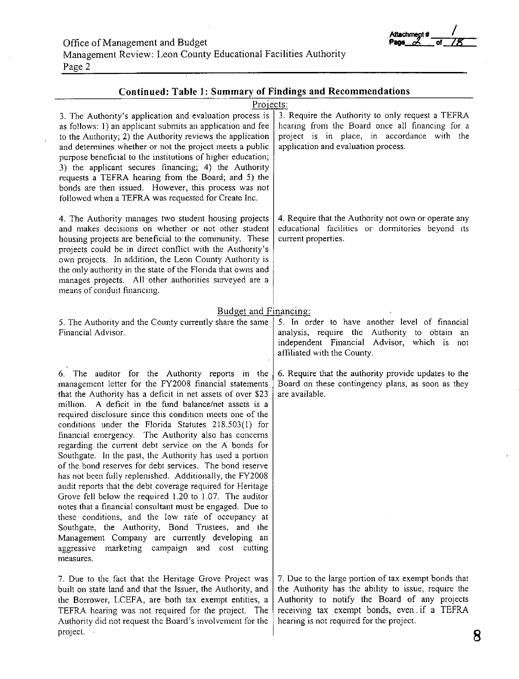Management Review: Leon County Educational Facilities Authority Page 2

| <b>Continued: Table 1: Summary of Findings and Recommendations</b>                                                                                                                                                                                                                                                                                                                                                                                                                                                                                                                                                                                                                                                                                                                                                                                                                                                                                                                                                                                                              |                                                                                                                                                                                                                                                         |
|---------------------------------------------------------------------------------------------------------------------------------------------------------------------------------------------------------------------------------------------------------------------------------------------------------------------------------------------------------------------------------------------------------------------------------------------------------------------------------------------------------------------------------------------------------------------------------------------------------------------------------------------------------------------------------------------------------------------------------------------------------------------------------------------------------------------------------------------------------------------------------------------------------------------------------------------------------------------------------------------------------------------------------------------------------------------------------|---------------------------------------------------------------------------------------------------------------------------------------------------------------------------------------------------------------------------------------------------------|
| Projects:<br>3. The Authority's application and evaluation process is<br>as follows: 1) an applicant submits an application and fee<br>to the Authority; 2) the Authority reviews the application<br>and determines whether or not the project meets a public<br>purpose beneficial to the institutions of higher education;<br>3) the applicant secures financing; 4) the Authority<br>requests a TEFRA hearing from the Board; and 5) the<br>bonds are then issued. However, this process was not<br>followed when a TEFRA was requested for Create Inc.                                                                                                                                                                                                                                                                                                                                                                                                                                                                                                                      | 3. Require the Authority to only request a TEFRA<br>hearing from the Board once all financing for a<br>project is in place, in accordance with the<br>application and evaluation process.                                                               |
| 4. The Authority manages two student housing projects<br>and makes decisions on whether or not other student<br>housing projects are beneficial to the community. These<br>projects could be in direct conflict with the Authority's<br>own projects. In addition, the Leon County Authority is<br>the only authority in the state of the Florida that owns and<br>manages projects. All other authorities surveyed are a<br>means of conduit financing.                                                                                                                                                                                                                                                                                                                                                                                                                                                                                                                                                                                                                        | 4. Require that the Authority not own or operate any<br>educational facilities or dormitories beyond its<br>current properties.                                                                                                                         |
| Budget and Financing:                                                                                                                                                                                                                                                                                                                                                                                                                                                                                                                                                                                                                                                                                                                                                                                                                                                                                                                                                                                                                                                           |                                                                                                                                                                                                                                                         |
| 5. The Authority and the County currently share the same<br>Financial Advisor.                                                                                                                                                                                                                                                                                                                                                                                                                                                                                                                                                                                                                                                                                                                                                                                                                                                                                                                                                                                                  | 5. In order to have another level of financial<br>analysis, require the Authority to obtain an<br>independent Financial Advisor, which is not<br>affiliated with the County.                                                                            |
| 6. The auditor for the Authority reports in the<br>management letter for the FY2008 financial statements<br>that the Authority has a deficit in net assets of over \$23<br>million. A deficit in the fund balance/net assets is a<br>required disclosure since this condition meets one of the<br>conditions under the Florida Statutes 218.503(1) for<br>financial emergency. The Authority also has concerns<br>regarding the current debt service on the A bonds for<br>Southgate. In the past, the Authority has used a portion<br>of the bond reserves for debt services. The bond reserve<br>has not been fully replenished. Additionally, the FY2008<br>audit reports that the debt coverage required for Heritage<br>Grove fell below the required 1.20 to 1.07. The auditor<br>notes that a financial consultant must be engaged. Due to<br>these conditions, and the low rate of occupancy at<br>Southgate, the Authority, Bond Trustees, and the<br>Management Company are currently developing an<br>marketing campaign and cost cutting<br>aggressive<br>measures. | 6. Require that the authority provide updates to the<br>Board on these contingency plans, as soon as they<br>are available.                                                                                                                             |
| 7. Due to the fact that the Heritage Grove Project was<br>built on state land and that the Issuer, the Authority, and<br>the Borrower, LCEFA, are both tax exempt entities, a<br>TEFRA hearing was not required for the project. The<br>Authority did not request the Board's involvement for the<br>project.                                                                                                                                                                                                                                                                                                                                                                                                                                                                                                                                                                                                                                                                                                                                                                   | 7. Due to the large portion of tax exempt bonds that<br>the Authority has the ability to issue, require the<br>Authority to notify the Board of any projects<br>receiving tax exempt bonds, even if a TEFRA<br>hearing is not required for the project. |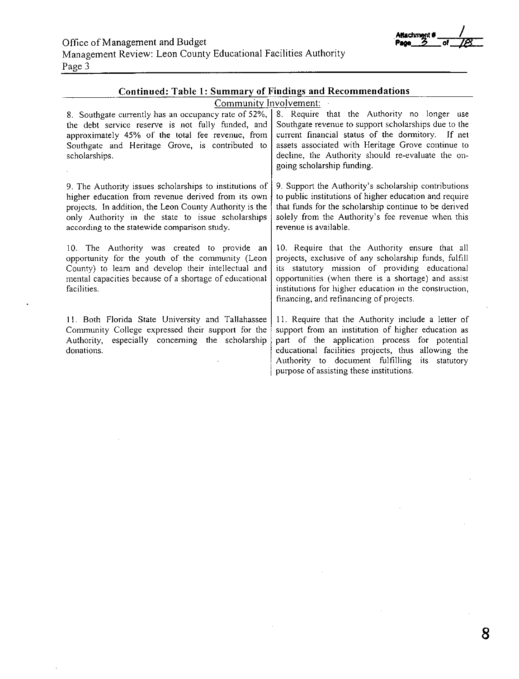**Allachml!!lt** # \_\_/,\_\_\_\_

Page 3

| Continued: Table 1: Summary of Findings and Recommendations                                                                                                                                                                                                                   |                                                                                                                                                                                                                                                                                                                       |
|-------------------------------------------------------------------------------------------------------------------------------------------------------------------------------------------------------------------------------------------------------------------------------|-----------------------------------------------------------------------------------------------------------------------------------------------------------------------------------------------------------------------------------------------------------------------------------------------------------------------|
| Community Involvement:                                                                                                                                                                                                                                                        |                                                                                                                                                                                                                                                                                                                       |
| 8. Southgate currently has an occupancy rate of 52%,<br>the debt service reserve is not fully funded, and<br>approximately 45% of the total fee revenue, from<br>Southgate and Heritage Grove, is contributed to<br>scholarships.                                             | 8. Require that the Authority no longer use<br>Southgate revenue to support scholarships due to the<br>current financial status of the dormitory. If net<br>assets associated with Heritage Grove continue to<br>decline, the Authority should re-evaluate the on-<br>going scholarship funding.                      |
| 9. The Authority issues scholarships to institutions of<br>higher education from revenue derived from its own<br>projects. In addition, the Leon County Authority is the<br>only Authority in the state to issue scholarships<br>according to the statewide comparison study. | 9. Support the Authority's scholarship contributions<br>to public institutions of higher education and require<br>that funds for the scholarship continue to be derived<br>solely from the Authority's fee revenue when this<br>revenue is available.                                                                 |
| 10. The Authority was created to provide an<br>opportunity for the youth of the community (Leon<br>County) to learn and develop their intellectual and<br>mental capacities because of a shortage of educational<br>facilities.                                               | 10. Require that the Authority ensure that all<br>projects, exclusive of any scholarship funds, fulfill<br>its statutory mission of providing educational<br>opportunities (when there is a shortage) and assist<br>institutions for higher education in the construction,<br>financing, and refinancing of projects. |
| 11. Both Florida State University and Tallahassee<br>Community College expressed their support for the<br>Authority, especially concerning the scholarship<br>donations.                                                                                                      | 11. Require that the Authority include a letter of<br>support from an institution of higher education as<br>part of the application process for potential<br>educational facilities projects, thus allowing the<br>Authority to document fulfilling its statutory<br>purpose of assisting these institutions.         |

 $\mathcal{L}_{\mathcal{A}}$ 

 $\mathcal{L}^{\pm}$ 

 $\bar{z}$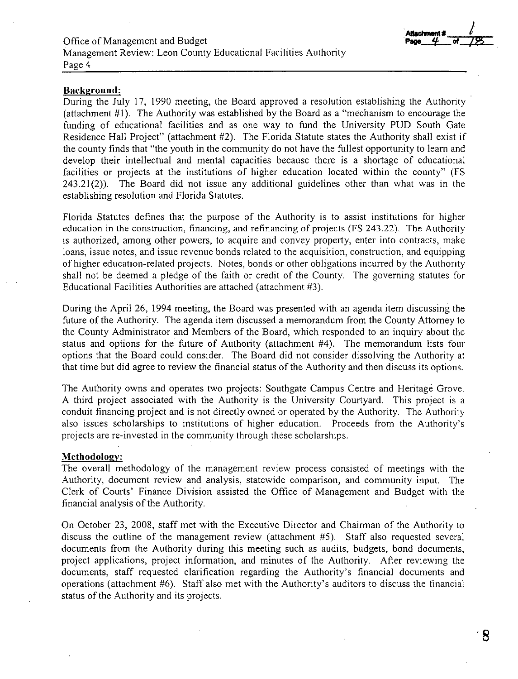**Allachment** #

#### **Background:**

During the July 17, 1990 meeting, the Board approved a resolution establishing the Authority (attachment #1). The Authority was established by the Board as a "mechanism to encourage the funding of educational facilities and as one way to fund the University PUD South Gate Residence Hall Project" (attachment #2). The Florida Statute states the Authority shall exist if the county finds that "the youth in the community do not have the fullest opportunity to learn and develop their intellectual and mental capacities because there is a shortage of educational facilities or projects at the institutions of higher education located within the county" (FS 243.21 (2)). The Board did not issue any additional guidelines other than what was in the establishing resolution and Florida Statutes.

Florida Statutes defines that the purpose of the Authority is to assist institutions for higher education in the construction, financing, and refinancing of projects (FS 243 .22). The Authority is authorized, among other powers, to acquire and convey property, enter into contracts, make loans, issue notes, and issue revenue bonds related to the acquisition, construction, and equipping of higher education-related projects. Notes, bonds or other obligations incurred by the Authority shall not be deemed a pledge of the faith or credit of the County. The governing statutes for Educational Facilities Authorities are attached (attachment #3).

During the April 26, 1994 meeting, the Board was presented with an agenda item discussing the future of the Authority. The agenda item discussed a memorandum from the County Attorney to the County Administrator and Members of the Board, which responded to an inquiry about the status and options for the future of Authority (attachment #4). The memorandum lists four options that the Board could consider. The Board did not consider dissolving the Authority at that time but did agree to review the financial status of the Authority and then discuss its options.

The Authority owns and operates two projects: Southgate Campus Centre and Heritage Grove. A third project associated with the Authority is the University Courtyard. This project is a conduit financing project and is not directly owned or operated by the Authority. The Authority also issues scholarships to institutions of higher education. Proceeds from the Authority's projects are re-invested in the community through these scholarships.

#### **Methodology:**

The overall methodology of the management review process consisted of meetings with the Authority, document review and analysis, statewide comparison, and community input. The Clerk of Courts' Finance Division assisted the Office of Management and Budget with the financial analysis of the Authority.

On October 23, 2008, staff met with the Executive Director and Chairman of the Authority to discuss the outline of the management review (attachment #5). Staff also requested several documents from the Authority during this meeting such as audits, budgets, bond documents, project applications, project information, and minutes of the Authority. After reviewing the documents, staff requested clarification regarding the Authority's financial documents and operations (attachment #6). Staff also met with the Authority's auditors to discuss the financial status of the Authority and its projects.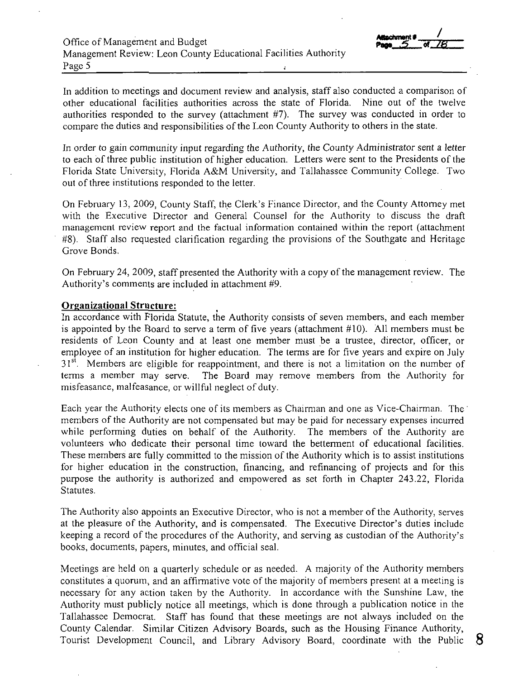In addition to meetings and document review and analysis, staff also conducted a comparison of other educational facilities authorities across the state of Florida. Nine out of the twelve authorities responded to the survey (attachment #7). The survey was conducted in order to compare the duties and responsibilities of the Leon County Authority to others in the state.

In order to gain community input regarding the Authority, *the* County Administrator sent a letter to each of three public institution of higher education. Letters were sent to the Presidents of the Florida State University, Florida A&M University, and Tallahassee Community College. Two out of three institutions responded to the letter.

On February 13, 2009, County Staff, the Clerk's Finance Director, and the County Attorney met with the Executive Director and General Counsel for the Authority to discuss the draft management review report and the factual information contained within the report (attachment #8). Staff also requested clarification regarding the provisions of the Southgate and Heritage Grove Bonds.

On February 24, 2009, staff presented the Authority with a copy of the management review. The Authority's comments are included in attachment #9.

## **Organizational Structure:**

In accordance with Florida Statute, the Authority consists of seven members, and each member is appointed by the Board to serve a term of five years (attachment #10). All members must be residents of Leon County and at least one member must be a trustee, director, officer, or employee of an institution for higher education. The terms are for five years and expire on July 31<sup>st</sup>. Members are eligible for reappointment, and there is not a limitation on the number of terms a member may serve. The Board may remove members from the Authority for misfeasance, malfeasance, or willful neglect of duty.

Each year the Authority elects one of its members as Chairman and one as Vice-Chairman. The· members of the Authority are not compensated but may be paid for necessary expenses incurred while performing duties on behalf of the Authority. The members of the Authority are volunteers who dedicate their personal time toward the betterment of educational facilities. These members are fully committed to the mission of the Authority which is to assist institutions for higher education in the construction, financing, and refinancing of projects and for this purpose the authority is authorized and empowered as set forth in Chapter 243 .22, Florida Statutes.

The Authority also appoints an Executive Director, who is not a member of the Authority, serves at the pleasure of the Authority, and is compensated. The Executive Director's duties include keeping a record of the procedures of the Authority, and serving as custodian of the Authority's books, documents, papers, minutes, and official seal.

Meetings are held on a quarterly schedule or as needed. A majority of the Authority members constitutes a quorum, and an affirmative vote of the majority of members present at a meeting is necessary for any action taken by the Authority. In accordance with the Sunshine Law, the Authority must publicly notice all meetings, which is done through a publication notice in the Tallahassee Democrat. Staff has found that these meetings are not always included on the County Calendar. Similar Citizen Advisory Boards, such as the Housing Finance Authority, Tourist Development Council, and Library Advisory Board, coordinate with the Public **8**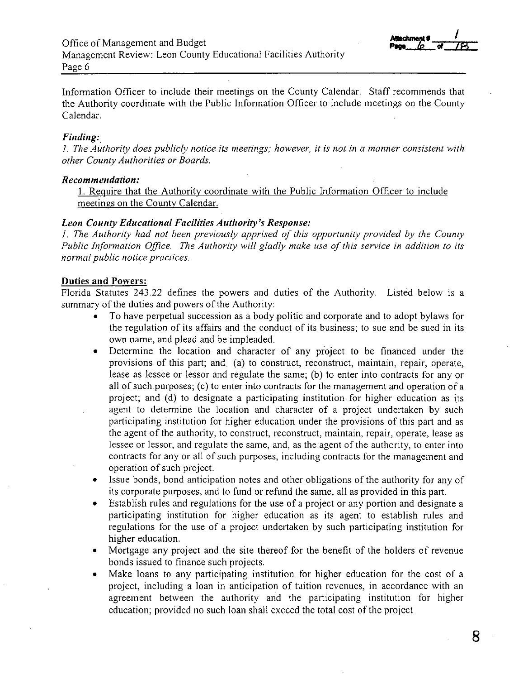

Information Officer to include their meetings on the County Calendar. Staff recommends that the Authority coordinate with the Public Information Officer to include meetings on the County Calendar.

## *Finding:*

*1. The Authority does publicly notice its meetings; however, it is not in a manner consistent with other County Authorities or Boards.* 

#### $Recommendation:$

**1.** Require that the Authority coordinate with the Public Information Officer to include meetings on the County Calendar.

## *Leon County Educational Facilities Authority's Response:*

*1. The Authority had not been previously apprised of this opportunity provided by the County Public Information Office. The Authority will gladly make use of this service in addition to its normal public notice practices.* 

## **Duties and Powers:**

Florida Statutes 243.22 defines the powers and duties of the Authority. Listed below is a summary of the duties and powers of the Authority:

- To have perpetual succession as a body politic and corporate and to adopt bylaws for the regulation of its affairs and the conduct of its business; to sue and be sued in its own name, and plead and be impleaded.
- Determine the location and character of any project to be financed under the provisions of this part; and (a) to construct, reconstruct, maintain, repair, operate, lease as lessee or lessor and regulate the same; (b) to enter into contracts for any or all of such purposes; (c) to enter into contracts for the management and operation of a project; and (d) to designate a participating institution for higher education as its agent to determine the location and character of a project undertaken by such participating institution for higher education under the provisions of this part and as the agent of the authority, to construct, reconstruct, maintain, repair, operate, lease as lessee or lessor, and regulate the same, and, as the agent of the authority, to enter into contracts for any or all of such purposes, including contracts for the management and operation of such project.
- Issue bonds, bond anticipation notes and other obligations of the authority for any of its corporate purposes, and to fund or refund the same, all as provided in this part.
- Establish rules and regulations for the use of a project or any portion and designate a participating institution for higher education as its agent to establish rules and regulations for the use of a project undertaken by such participating institution for higher education.
- Mortgage any project and the site thereof for the benefit of the holders of revenue bonds issued to finance such projects.
- Make loans to any participating institution for higher education for the cost of a project, including a loan in anticipation of tuition revenues, in accordance with an agreement between the authority and the participating institution for higher education; provided no such loan shall exceed the total cost of the project

**8**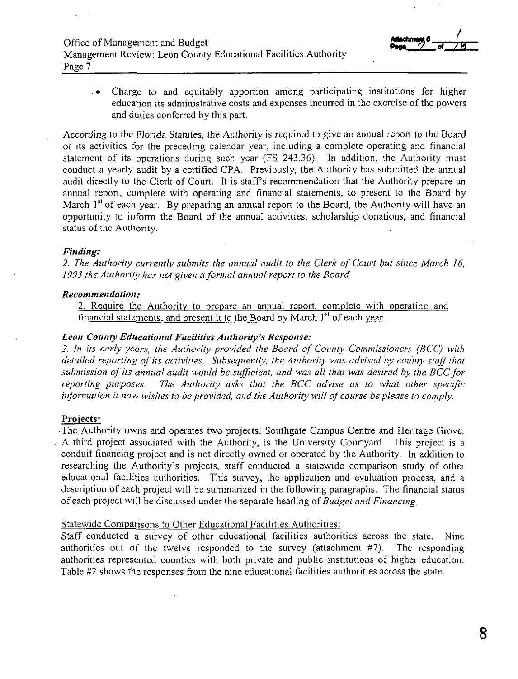

. • Charge to and equitably apportion among participating institutions for higher education its administrative costs and expenses incurred in the exercise of the powers and duties conferred by this part.

According to the Florida Statutes, the Authority is required to give an annual report to the Board of its activities for the preceding calendar year, including a complete operating and financial statement of its operations during such year (FS 243.36). In addition, the Authority must conduct a yearly audit by a certified CPA. Previously, the Authority has submitted the annual audit directly to the Clerk of Court. It is staff's recommendation that the Authority prepare an annual report, complete with operating and financial statements, to present to the Board by March  $1<sup>st</sup>$  of each year. By preparing an annual report to the Board, the Authority will have an opportunity to inform the Board of the annual activities, scholarship donations, and financial status of the Authority.

#### *Finding:*

*2. The Authority currently submits the annual audit to the Clerk of Court but since March I 6, 1993 the Authority has not given a formal annual report to the Board.* 

## *Recommendation:*

2. Require the Authority to prepare an annual report, complete with operating and financial statements, and present it to the Board by March 1<sup>st</sup> of each year.

## *Leon County Educational Facilities Authority's Response:*

*2. In its early years, the Authority provided the Board of County Commissioners (HCC) with detailed reporting of its activities. Subsequently, the Authority was advised by county staff that* submission of its annual audit would be sufficient, and was all that was desired by the BCC for *reporting purposes. The Authority asks that the BCC advise as to what other specific information it now wishes to be provided, and the Authority will of course be please to comply.* 

## **Projects:**

-The Authority owns and operates two projects: Southgate Campus Centre and Heritage Grove. A third project associated with the Authority, is the University Courtyard. This project is a conduit financing project and is not directly owned or operated by the Authority. In addition to researching the Authority's projects, staff conducted a statewide comparison study of other educational facilities authorities. This survey, the application and evaluation process, and a description of each project will be summarized in the following paragraphs. The financial status of each project will be discussed under the separate heading of *Budget and Financing.* 

## Statewide Comparisons to Other Educational Facilities Authorities:

Staff conducted a survey of other educational facilities authorities across the state. Nine authorities out of the twelve responded to the survey (attachment #7). The responding authorities represented counties with both private and public institutions of higher education. Table #2 shows the responses from the nine educational facilities authorities across the state.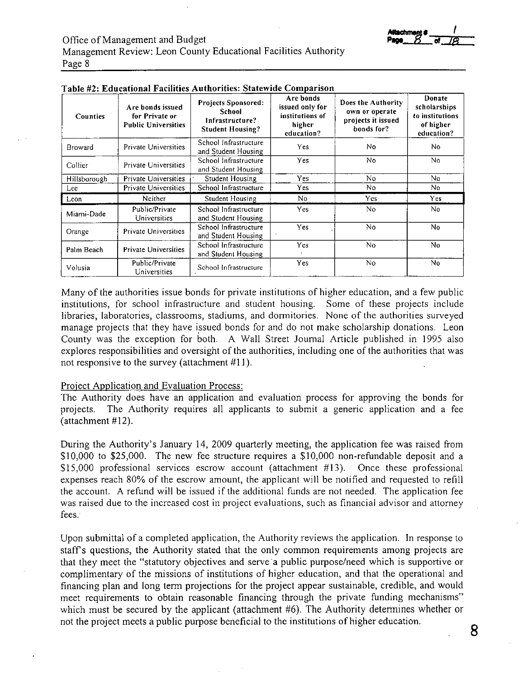| <i>reachment</i> s |    |
|--------------------|----|
| <b>P208</b>        | טי |

| <b>Counties</b> | Are bonds issued<br>for Private or<br><b>Public Universities</b> | <b>Projects Sponsored:</b><br>School<br>Infrastructure?<br><b>Student Housing?</b> | Are bonds<br>issued only for<br>institutions of<br>higher<br>education? | Does the Authority<br>own or operate<br>projects it issued<br>bonds for? | Donate<br>scholarships<br>to institutions<br>of higher<br>education? |
|-----------------|------------------------------------------------------------------|------------------------------------------------------------------------------------|-------------------------------------------------------------------------|--------------------------------------------------------------------------|----------------------------------------------------------------------|
| <b>Broward</b>  | <b>Private Universities</b>                                      | School Infrastructure<br>and Student Housing                                       | <b>Yes</b>                                                              | No.                                                                      | No.                                                                  |
| Collier         | Private Universities                                             | School Infrastructure<br>and Student Housing                                       | Yes                                                                     | No                                                                       | No                                                                   |
| Hillsborough    | <b>Private Universities</b>                                      | Student Housing                                                                    | Yes                                                                     | No                                                                       | No.                                                                  |
| Lee             | <b>Private Universities</b>                                      | School Infrastructure                                                              | <b>Yes</b>                                                              | No                                                                       | No.                                                                  |
| Leon            | Neither                                                          | Student Housing                                                                    | No                                                                      | <b>Yes</b>                                                               | Yes                                                                  |
| Miami-Dade      | Public/Private<br>Universities                                   | School Infrastructure<br>and Student Housing                                       | Yes.                                                                    | No                                                                       | No.                                                                  |
| Orange          | Private Universities                                             | School Infrastructure<br>and Student Housing                                       | Yes                                                                     | No                                                                       | No.                                                                  |
| Palm Beach      | <b>Private Universities</b>                                      | School Infrastructure<br>and Student Housing                                       | Yes                                                                     | No                                                                       | No.                                                                  |
| Volusia         | Public/Private<br>Universities                                   | School Infrastructure                                                              | Yes                                                                     | No                                                                       | No.                                                                  |

### **Table #2: EducationaIFac11tles T. Aut hon!Ies: statew1"de Companson**

Many of the authorities issue bonds for private institutions of higher education, and a few public institutions, for school infrastructure and student housing. Some of these projects include libraries, laboratories, classrooms, stadiums, and dormitories. None of the authorities surveyed manage projects that they have issued bonds for and do not make scholarship donations. Leon County was the exception for both. A Wall Street Journal Article published in 1995 also explores responsibilities and oversight of the authorities, including one of the authorities that was not responsive to the survey (attachment #11).

#### Project Application and Evaluation Process:

The Authority does have an application and evaluation process for approving the bonds for projects. The Authority requires all applicants to submit a generic application and a fee (attachment #12).

During the Authority's January 14, 2009 quarterly meeting, the application fee was raised from \$10,000 to \$25,000. The new fee structure requires a \$10,000 non-refundable deposit and a \$15,000 professional services escrow account (attachment #13). Once these professional expenses reach 80% of the escrow amount, the applicant will be notified and requested to refill the account. A refund will be issued if the additional funds are not needed. The application fee was raised due to the increased cost in project evaluations, such as financial advisor and attorney fees.

Upon submittal of a completed application, the Authority reviews the application. In response to staff's questions, the Authority stated that the only common requirements among projects are that they meet the "statutory objectives and serve a public purpose/need which is supportive or complimentary of the missions of institutions of higher education, and that the operational and financing plan and long term projections for the project appear sustainable, credible, and would meet requirements to obtain reasonable financing through the private funding mechanisms" which must be secured by the applicant (attachment #6). The Authority determines whether or not the project meets a public purpose beneficial to the institutions of higher education.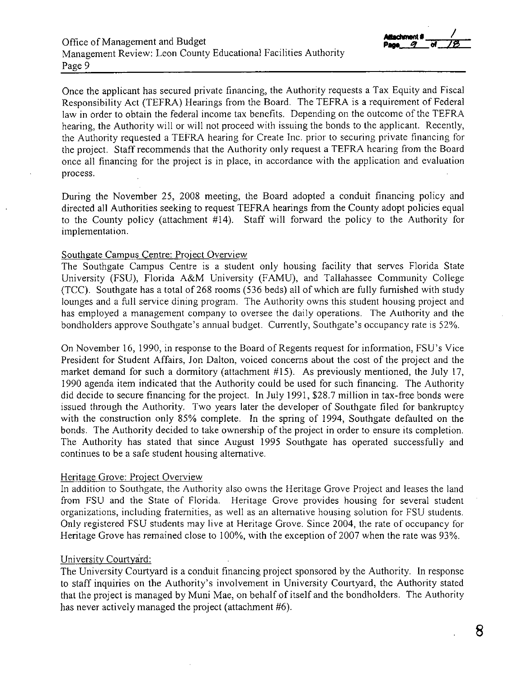

Once the applicant has secured private financing, the Authority requests a Tax Equity and Fiscal Responsibility Act (TEFRA) Hearings from the Board. The TEFRA is a requirement of Federal law in order to obtain the federal income tax benefits. Depending on the outcome of the TEFRA hearing, the Authority will or will not proceed with issuing the bonds to the applicant. Recently, the Authority requested a TEFRA hearing for Create Inc. prior to securing private financing for the project. Staff recommends that the Authority only request a TEFRA hearing from the Board once all financing for the project is in place, in accordance with the application and evaluation process.

During the November 25, 2008 meeting, the Board adopted a conduit financing policy and directed all Authorities seeking to request TEFRA hearings from the County adopt policies equal to the County policy (attachment #14). Staff will forward the policy to the Authority for implementation.

## Southgate Campus Centre: Project Overview

The Southgate Campus Centre is a student only housing facility that serves Florida State University (FSU), Florida A&M University (FAMU), and Tallahassee Community College (TCC). Southgate has a total of268 rooms (536 beds) all of which are fully furnished with study lounges and a full service dining program. The Authority owns this student housing project and has employed a management company to oversee the daily operations. The Authority and the bondholders approve Southgate's annual budget. Currently, Southgate's occupancy rate is 52%.

On November 16, 1990, in response to the Board of Regents request for information, FSU's Vice President for Student Affairs, Jon Dalton, voiced concerns about the cost of the project and the market demand for such a dormitory (attachment #15). As previously mentioned, the July 17, 1990 agenda item indicated that the Authority could be used for such financing. The Authority did decide to secure financing for the project. In July 1991, \$28.7 million in tax-free bonds were issued through the Authority. Two years later the developer of Southgate filed for bankruptcy with the construction only 85% complete. In the spring of 1994, Southgate defaulted on the bonds. The Authority decided to take ownership of the project in order to ensure its completion. The Authority has stated that since August 1995 Southgate has operated successfully and continues to be a safe student housing alternative.

## Heritage Grove: Project Overview

In addition to Southgate, the Authority also owns the Heritage Grove Project and leases the land from FSU and the State of Florida. Heritage Grove provides housing for several student organizations, including fraternities, as well as an alternative housing solution for FSU students. Only registered FSU students may live at Heritage Grove. Since 2004, the rate of occupancy for Heritage Grove has remained close to 100%, with the exception of 2007 when the rate was 93%.

## University Courtyard:

The University Courtyard is a conduit financing project sponsored by the Authority. In response to staff inquiries on the Authority's involvement in University Courtyard, the Authority stated that the project is managed by Muni Mae, on behalf of itself and the bondholders. The Authority has never actively managed the project (attachment #6).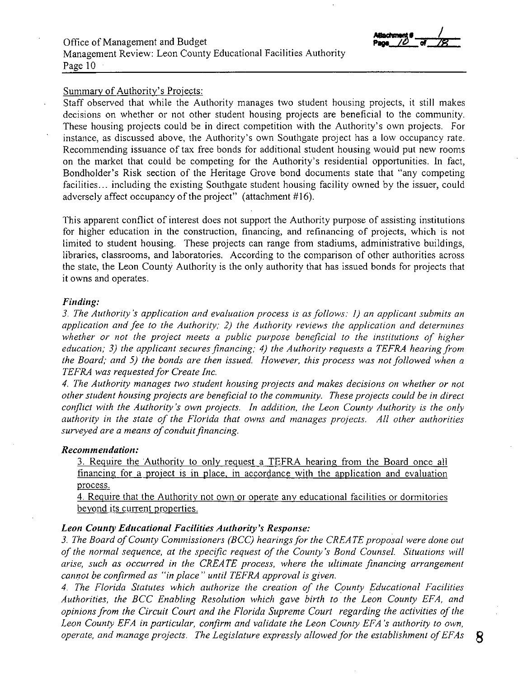## Office of Management and Budget Management Review: Leon County Educational Facilities Authority Page 10

## Summary of Authority's Projects:

Staff observed that while the Authority manages two student housing projects, it still makes decisions on whether or not other student housing projects are beneficial to the community. These housing projects could be **in** direct competition with the Authority's own projects. For instance, as discussed above, the Authority's own Southgate project has a low occupancy rate. Recommending issuance of tax free bonds for additional student housing would put new rooms on the market that could be competing for the Authority's residential opportunities. **In** fact, Bondholder's Risk section of the Heritage Grove bond documents state that "any competing facilities... including the existing Southgate student housing facility owned by the issuer, could adversely affect occupancy of the project" (attachment #16).

This apparent conflict of interest does not support the Authority purpose of assisting institutions for higher education in the construction, financing, and refinancing of projects, which is not limited to student housing. These projects can range from stadiums, administrative buildings, libraries, classrooms, and laboratories. According to the comparison of other authorities across the state, the Leon County Authority is the only authority that has issued bonds for projects that it owns and operates.

#### *Finding:*

*3. The Authority's application and evaluation process is as follows: 1) an applicant submits an application and fee to the Authority; 2) the Authority reviews the application and determines whether or not the project meets a public purpose beneficial to the institutions of higher education; 3) the applicant secures financing; 4) the Authority requests a TEFRA hearing from the Board; and 5) the bonds are then issued. However, this process was not followed when a TEFRA was requested for Create Inc.* 

*4. The Authority manages two student housing projects and makes decisions on whether or not other student housing projects are beneficial to the community. These projects could be in direct conflict with the Authority's own projects. In addition, the Leon County Authority is the only authority in the state of the Florida that owns and manages projects. All other authorities surveyed are a means of conduit financing.* 

## *Recommendation:*

3. Require the Authority to only request a TEFRA hearing from the Board once all financing for a project is in place, in accordance with the application and evaluation process.

4. Require that the Authority not own or operate any educational facilities or dormitories beyond its current properties.

#### *Leon County Educational Facilities Authority's Response:*

3. The Board of County Commissioners (BCC) hearings for the CREATE proposal were done out *of the normal sequence, at the specific request of the County's Bond Counsel. Situations will arise, such as occurred in the CREATE process, where the ultimate financing arrangement cannot be confirmed as "in place" until TEFRA approval is given.* 

*4. The Florida Statutes which authorize the creation of the County Educational Facilities Authorities, the BCC Enabling Resolution which gave birth to the Leon County EFA, and opinions from the Circuit Court and the Florida Supreme Court regarding the activities of the Leon County EFA in particular, confirm and validate the Leon County EFA 's authority to own, operate, and manage projects. The Legislature expressly allowed for the establishment ofEFAs* **8**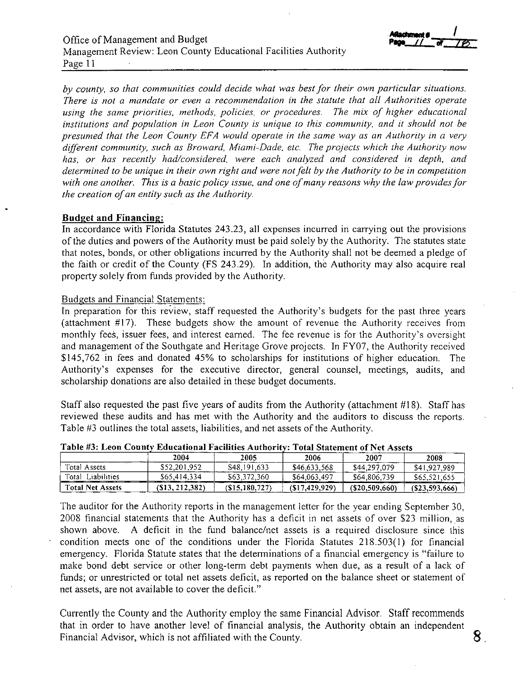

*by county, so that communities could decide what was best for their own particular situations. There is not a mandate or even a recommendation in the statute that all Authorities operate using the same priorities, methods, policies, or procedures. The mix of higher educational institutions and population in Leon County is unique to this community, and it should not be presumed that the Leon County EFA would operate in the same way as an Authority in a very different community, such as Broward, Miami-Dade, etc. The projects which the Authority now has, or has recently had/considered, were each analyzed and considered in depth, and determined to be unique in their own right and were not felt by the Authority to be in competition*  with one another. This is a basic policy issue, and one of many reasons why the law provides for *the creation of an entity such as the Authority.* 

## **Budget and Financing:**

In accordance with Florida Statutes 243.23, all expenses incurred in carrying out the provisions of the duties and powers of the Authority must be paid solely by the Authority. The statutes state that notes, bonds, or other obligations incurred by the Authority shall not be deemed a pledge of the faith or credit of the County (FS 243.29). In addition, the Authority may also acquire real property solely from funds provided by the Authority.

## Budgets and Financial Statements:

In preparation for this review, staff requested the Authority's budgets for the past three years (attachment #17). These budgets show the amount of revenue the Authority receives from monthly fees, issuer fees, and interest earned. The fee revenue is for the Authority's oversight and management of the Southgate and Heritage Grove projects. In FY07, the Authority received \$145,762 in fees and donated 45% to scholarships for institutions of higher education. The Authority's expenses for the executive director, general counsel, meetings, audits, and scholarship donations are also detailed in these budget documents.

Staff also requested the past five years of audits from the Authority (attachment #18). Staff has reviewed these audits and has met with the Authority and the auditors to discuss the reports. Table #3 outlines the total assets, liabilities, and net assets of the Authority.

| -------------------     |                |                 |                 |                   |                 |  |
|-------------------------|----------------|-----------------|-----------------|-------------------|-----------------|--|
|                         | 2004           | 2005            | 2006            | 2007              | 2008            |  |
| Total Assets            | \$52,201.952   | \$48,191,633    | \$46,633,568    | \$44,297,079      | \$41,927,989    |  |
| Total Liabilities       | \$65,414.334   | \$63,372,360    | \$64,063,497    | \$64,806,739      | \$65,521,655    |  |
| <b>Total Net Assets</b> | (\$13.212.382) | (S15, 180, 727) | (S17, 429, 929) | $($ \$20,509,660) | (S23, 593, 666) |  |

| Table #3: Leon County Educational Facilities Authority: Total Statement of Net Assets |  |
|---------------------------------------------------------------------------------------|--|
|                                                                                       |  |

The auditor for the Authority reports in the management letter for the year ending September 30, 2008 financial statements that the Authority has a deficit in net assets of over \$23 million, as shown above. A deficit in the fund balance/net assets is a required disclosure since this condition meets one of the conditions under the Florida Statutes 218.503(1) for financial emergency. Florida Statute states that the determinations of a financial emergency is "failure to make bond debt service or other long-term debt payments when due, as a result of a lack of funds; or unrestricted or total net assets deficit, as reported on the balance sheet or statement of net assets, are not available to cover the deficit."

Currently the County and the Authority employ the same Financial Advisor. Staff recommends that in order to have another level of financial analysis, the Authority obtain an independent Financial Advisor, which is not affiliated with the County.  $\begin{array}{ccc} 8 \end{array}$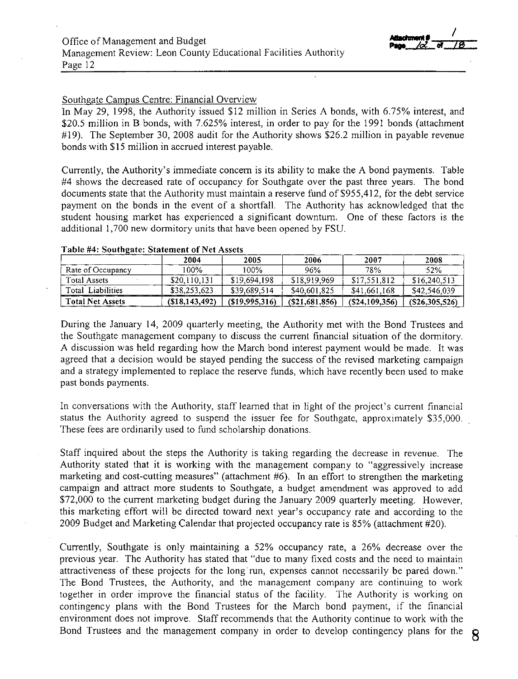

### Southgate Campus Centre: Financial Overview

In May 29, 1998, the Authority issued \$12 million in Series A bonds, with 6.75% interest, and \$20.5 million in B bonds, with 7.625% interest, in order to pay for the 1991 bonds (attachment  $\#19$ ). The September 30, 2008 audit for the Authority shows \$26.2 million in payable revenue bonds with \$15 million in accrued interest payable.

Currently, the Authority's immediate concern is its ability to make the A bond payments. Table #4 shows the decreased rate of occupancy for Southgate over the past three years. The bond documents state that the Authority must maintain a reserve fund of \$955,412, for the debt service payment on the bonds in the event of a shortfall. The Authority has acknowledged that the student housing market has experienced a significant downturn. One of these factors is the additional 1,700 new dormitory units that have been opened by FSU.

|                         | 2004            | 2005          | 2006              | 2007            | 2008            |
|-------------------------|-----------------|---------------|-------------------|-----------------|-----------------|
| Rate of Occupancy       | 100%            | 100%          | 96%               | 78%             | 52%             |
| Total Assets            | \$20,110,131    | \$19,694,198  | \$18,919,969      | \$17,551,812    | \$16,240,513    |
| Total Liabilities       | \$38,253,623    | \$39,689,514  | \$40,601,825      | \$41,661,168    | \$42,546,039    |
| <b>Total Net Assets</b> | (S18, 143, 492) | (S19.995.316) | $($ \$21,681,856) | (S24, 109, 356) | (S26, 305, 526) |

#### **Table #4: Southgate: Statement of Net Assets**

During the January 14, 2009 quarterly meeting, the Authority met with the Bond Trustees and the Southgate management company to discuss the current financial situation of the dormitory. A discussion was held regarding how the March bond interest payment would be made. It was agreed that a decision would be stayed pending the success of the revised marketing campaign and a strategy implemented to replace the reserve funds, which have recently been used to make past bonds payments.

In conversations with the Authority, staff learned that in light of the project's current financial status the Authority agreed to suspend the issuer fee for Southgate, approximately \$35,000. These fees are ordinarily used to fund scholarship donations.

Staff inquired about the steps the Authority is taking regarding the decrease in revenue. The Authority stated that it is working with the management company to "aggressively increase marketing and cost-cutting measures" (attachment #6). In an effort to strengthen the marketing campaign and attract more students to Southgate, a budget amendment was approved to ·add \$72,000 to the current marketing budget during the January 2009 quarterly meeting. However, this marketing effort will be directed toward next year's occupancy rate and according to the 2009 Budget and Marketing Calendar that projected occupancy rate is 85% (attachment #20).

Currently, Southgate is only maintaining a 52% occupancy rate, a 26% decrease over the previous year. The Authority has stated that "due to many fixed costs and the need to maintain attractiveness of these projects for the long run, expenses cannot necessarily be pared down." The Bond Trustees, the Authority, and the management company are continuing to work together in order improve the financial status of the facility. The Authority is working on contingency plans with the Bond Trustees for the March bond payment, if the financial environment does not improve. Staff recommends that the Authority continue to work with the Bond Trustees and the management company in order to develop contingency plans for the  $8$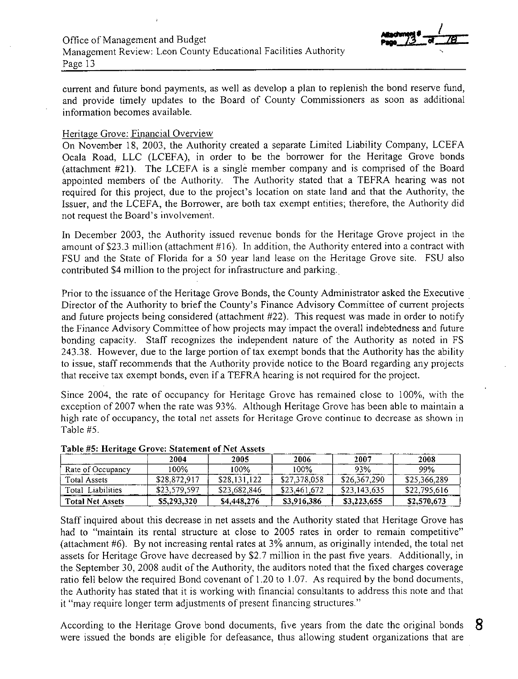

current and future bond payments, as well as develop a plan to replenish the bond reserve fund, and provide timely updates to the Board of County Commissioners as soon as additional information becomes available.

## Heritage Grove: Financial Overview

On November 18, 2003, the Authority created a separate Limited Liability Company, LCEFA Ocala Road, LLC (LCEFA), in order to be the borrower for the Heritage Grove bonds (attachment #21). The LCEFA is a single member company and is comprised of the Board appointed members of the Authority. The Authority stated that a TEFRA hearing was not required for this project, due to the project's location on state land and that the Authority, the Issuer, and the LCEFA, the Borrower, are both tax exempt entities; therefore, the Authority did not request the Board's involvement.

In December 2003, the Authority issued revenue bonds for the Heritage Grove project in the amount of \$23.3 million (attachment  $#16$ ). In addition, the Authority entered into a contract with FSU and the State of Florida for a 50 year land lease on the Heritage Grove site. FSU also contributed \$4 million to the project for infrastructure and parking.

Prior to the issuance of the Heritage Grove Bonds, the County Administrator asked the Executive Director of the Authority to brief the County's Finance Advisory Committee of current projects and future projects being considered (attachment #22). This request was made in order to notify the Finance Advisory Committee of how projects may impact the overall indebtedness and future bonding capacity. Staff recognizes the independent nature of the Authority as noted in FS 243.38. However, due to the large portion of tax exempt bonds that the Authority has the ability to issue, staff recommends that the Authority provide notice to the Board regarding any projects that receive tax exempt bonds, even if a TEFRA hearing is not required for the project.

Since 2004, the rate of occupancy for Heritage Grove has remained close to I 00%, with the exception of 2007 when the rate was 93%. Although Heritage Grove has been able to maintain a high rate of occupancy, the total net assets for Heritage Grove continue to decrease as shown in Table #5.

|                         | 2004         | 2005         | 2006         | 2007         | 2008         |
|-------------------------|--------------|--------------|--------------|--------------|--------------|
| Rate of Occupancy       | 100%         | 100%         | 100%         | 93%          | 99%          |
| Total Assets            | \$28,872,917 | \$28,131,122 | \$27,378,058 | \$26,367,290 | \$25,366,289 |
| Total Liabilities       | \$23,579,597 | \$23,682,846 | \$23,461,672 | \$23,143,635 | \$22,795,616 |
| <b>Total Net Assets</b> | \$5,293,320  | \$4,448,276  | \$3,916.386  | \$3,223,655  | \$2,570,673  |

## Table #5: Heritage Grove: Statement of Net Assets

Staff inquired about this decrease in net assets and the Authority stated that Heritage Grove has had to "maintain its rental structure at close to 2005 rates in order to remain competitive" (attachment #6). By not increasing rental rates at 3% annum, as originally intended, the total net assets for Heritage Grove have decreased by \$2.7 million in the past five years. Additionally, in the September 30, 2008 audit of the Authority, the auditors noted that the fixed charges coverage ratio fell below the required Bond covenant of 1.20 to 1.07. As required by the bond documents, the Authority has stated that it is working with financial consultants to address this note and that it "may require longer term adjustments of present financing structures."

According to the Heritage Grove bond documents, five years from the date the original bonds  $8$ were issued the bonds are eligible for defeasance, thus allowing student organizations that are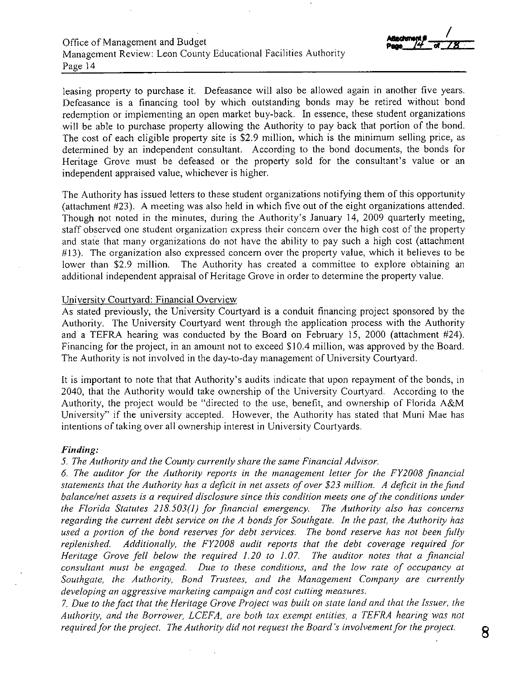leasing property to purchase it. Defeasance will also be allowed again in another five years. Defeasance is a financing tool by which outstanding bonds may be retired without bond redemption or implementing an open market buy-back. In essence, these student organizations will be able to purchase property allowing the Authority to pay back that portion of the bond. The cost of each eligible property site is \$2.9 million, which is the minimum selling price, as determined by an independent consultant. According to the bond documents, the bonds for Heritage Grove must be defeased or the property sold for the consultant's value or an independent appraised value, whichever is higher.

The Authority has issued letters to these student organizations notifying them of this opportunity (attachment #23). A meeting was also held in which five out of the eight organizations attended. Though not noted in the minutes, during the Authority's January 14, 2009 quarterly meeting, staff observed one student organization express their concern over the high cost of the property and state that many organizations do not have the ability to pay such a high cost (attachment #13). The organization also expressed concern over the property value, which it believes to be lower than \$2.9 million. The Authority has created a committee to explore obtaining an additional independent appraisal of Heritage Grove in order to determine the property value.

## University Courtyard: Financial Overview

As stated previously, the University Courtyard is a conduit financing project sponsored by the Authority. The University Courtyard went through the application process with the Authority and a TEFRA hearing was conducted by the Board on February 15, 2000 (attachment #24). Financing for the project, in an amount not to exceed \$10.4 million, was approved by the Board. The Authority is not involved in the day-to-day management of University Courtyard.

It is important to note that that Authority's audits indicate that upon repayment of the bonds, in 2040, that the Authority would take ownership of the University Courtyard. According to the Authority, the project would be "directed to the use, benefit, and ownership of Florida A&M University" if the university accepted. However, the Authority has stated that Muni Mae has intentions of taking over all ownership interest in University Courtyards.

#### *Finding:*

*5. The Authority and the County currently share the same Financial Advisor.* 

*6. The auditor for the Authority reports in the management letter for the FY2008 financial*  statements that the Authority has a deficit in net assets of over \$23 million. A deficit in the fund *balance/net assets is a required disclosure since this condition meets one of the conditions under the Florida Statutes 218.503(1) for financial emergency. The Authority also has concerns regarding the current debt service on the A bonds for Southgate. In the past, the Authority has used a portion of the bond reserves for debt services. The bond reserve has not been fully replenished. Additionally, the FY2008 audit reports that the debt coverage required for Heritage Grove fell below the required 1.20 to 1.07. The auditor notes that a financial consultant must be engaged. Due to these conditions, and the low rate of occupancy at Southgate, the Authority, Bond Trustees, and the Management Company are currently developing an aggressive marketing campaign and cost cutting measures.* 

7. *Due to the fact that the Heritage Grove Project was built on state land and that the Issuer, the*  Authority, and the Borrower, LCEFA, are both tax exempt entities, a TEFRA hearing was not *required for the project. The Authority did not request the Board's involvement for the project.* **8**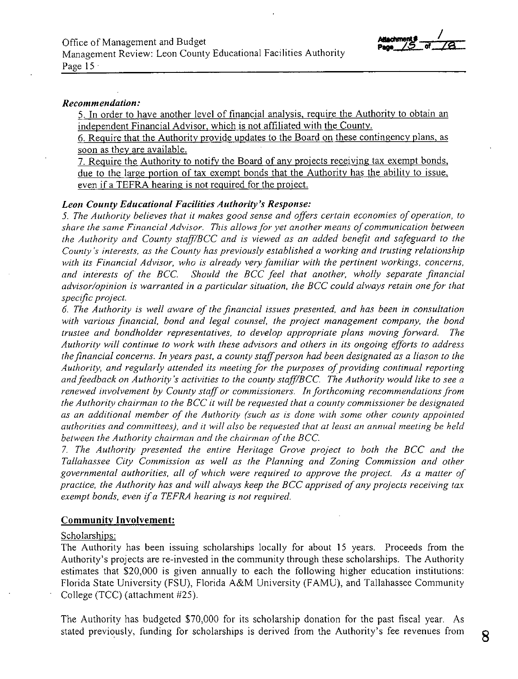*I*  **ZA** 

## $Recommendation:$

5. In order to have another level of financial analysis, require the Authority to obtain an independent Financial Advisor, which is not affiliated with the County.

6. Require that the Authority provide updates to the Board on these contingency plans, as soon as they are available.

7. Require the Authority to notify the Board of any projects receiving tax exempt bonds, due to the large portion of tax exempt bonds that the Authority has the ability to issue, even if a TEFRA hearing is not required for the project.

### *Leon County Educational Facilities Authority's Response:*

*5. The Authority believes that it makes good sense and offers certain economies of operation, to share the same Financial Advisor. This allows for yet another means of communication between the Authority and County stajj1BCC and* is *viewed as an added benefit and safeguard to the County's interests, as the County has previously established a working and trusting relationship with its Financial Advisor, who* is *already very familiar with the pertinent workings, concerns, and interests of the BCC. Should the BCC feel that another, wholly separate financial advisor/opinion* is *warranted in a particular situation, the BCC could always retain one for that specific project.* 

*6. The Authority* is *well aware of the financial issues presented, and has been in consultation with various financial, bond and legal counsel, the project management company, the bond trustee and bondholder representatives, to develop appropriate plans moving forward. The Authority will continue to work with these advisors and others in its ongoing efforts to address the financial concerns. In years past, a county staff person had been designated as a liason to the Authority, and regularly attended its meeting for the purposes of providing continual reporting and feedback on Authority's activities to the county stafj1BCC The Authority would like to see a renewed involvement by County staff or commissioners. In forthcoming recommendations from the Authority chairman to the BCC it will be requested that a county commissioner be designated as an additional member of the Authority (such as* is *done with some other county appointed authorities and committees), and it will also be requested that at least an annual meeting be held*  between the Authority chairman and the chairman of the BCC.

7. *The Authority presented the entire Heritage Grove project to both the BCC and the Tallahassee City Commission as well as the Planning and Zoning Commission and other governmental authorities, all of which were required to approve the project. As a matter of practice, the Authority has and will always keep the BCC apprised of any projects receiving tax exempt bonds, even* if*a TEFRA hearing is not required.* 

#### **Community Involvement:**

## Scholarships:

The Authority has been issuing scholarships locally for about 15 years. Proceeds from the Authority's projects are re-invested in the community through these scholarships. The Authority estimates that \$20,000 is given annually to each the following higher education institutions: Florida State University (FSU), Florida A&M University (FAMU), and Tallahassee Community College (TCC) (attachment #25).

The Authority has budgeted \$70,000 for its scholarship donation for the past fiscal year. As stated previously, funding for scholarships is derived from the Authority's fee revenues from **8**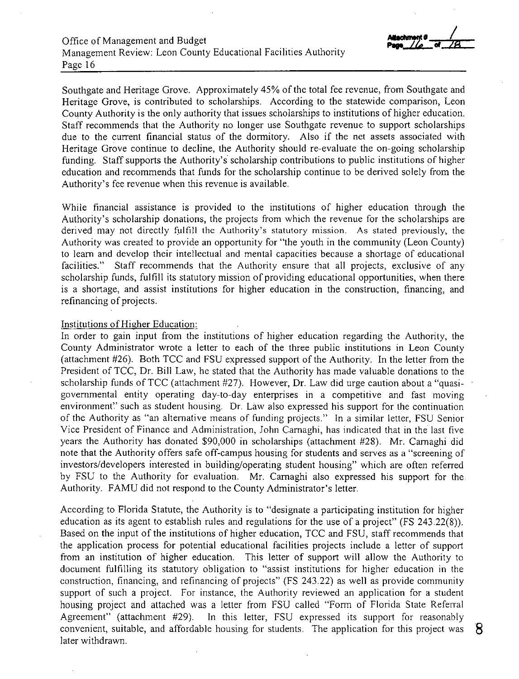Southgate and Heritage Grove. Approximately 45% of the total fee revenue, from Southgate and Heritage Grove, is contributed to scholarships. According to the statewide comparison, Leon County Authority is the only authority that issues scholarships to institutions of higher education. Staff recommends that the Authority no longer use Southgate revenue to support scholarships due to the current financial status of the dormitory. Also if the net assets associated with Heritage Grove continue to decline, the Authority should re-evaluate the on-going scholarship funding. Staff supports the Authority's scholarship contributions to public institutions of higher education and recommends that funds for the scholarship continue to be derived solely from the Authority's fee revenue when this revenue is available.

While financial assistance is provided to the institutions of higher education through the Authority's scholarship donations, the projects from which the revenue for the scholarships are derived may not directly fulfill the Authority's statutory mission. As stated previously, the Authority was created to provide an opportunity for "the youth in the community (Leon County) to learn and develop their intellectual and mental capacities because a shortage of educational facilities." Staff recommends that the Authority ensure that all projects, exclusive of any scholarship funds, fulfill its statutory mission of providing educational opportunities, when there is a shortage, and assist institutions for higher education in the construction, financing, and refinancing of projects.

#### Institutions of Higher Education:

In order to gain input from the institutions of higher education regarding the Authority, the County Administrator wrote a letter to each of the three public institutions in Leon County (attachment #26). Both TCC and FSU expressed support of the Authority. In the letter from the President of TCC, Dr. Bill Law, he stated that the Authority has made valuable donations to the scholarship funds of TCC (attachment #27). However, Dr. Law did urge caution about a "quasigovemmental entity operating day-to-day enterprises in a competitive and fast moving environment" such as student housing. Dr. Law also expressed his support for the continuation of the Authority as "an alternative means of funding projects." In a similar letter, FSU Senior Vice President of Finance and Administration, John Camaghi, has indicated that in the last five years the Authority has donated \$90,000 in scholarships (attachment #28). Mr. Camaghi did note that the Authority offers safe off-campus housing for students and serves as a "screening of investors/developers interested in building/operating student housing" which are often refen-ed by FSU to the Authority for evaluation. Mr. Camaghi also expressed his support for the Authority. FAMU did not respond to the County Administrator's letter.

According to Florida Statute, the Authority is to "designate a participating institution for higher education as its agent to establish rules and regulations for the use of a project" (FS 243.22(8)). Based on the input of the institutions of higher education, TCC and FSU, staff recommends that the application process for potential educational facilities projects include a letter of support from an institution of higher education. This letter of support will allow the Authority to document fulfilling its statutory obligation to "assist institutions for higher education in the construction, financing, and refinancing of projects" (FS 243.22) as well as provide community support of such a project. For instance, the Authority reviewed an application for a student housing project and attached was a letter from FSU called "Form of Florida State Referral Agreement" (attachment #29). In this letter, FSU expressed its support for reasonably convenient, suitable, and affordable housing for students. The application for this project was **'8**  later withdrawn.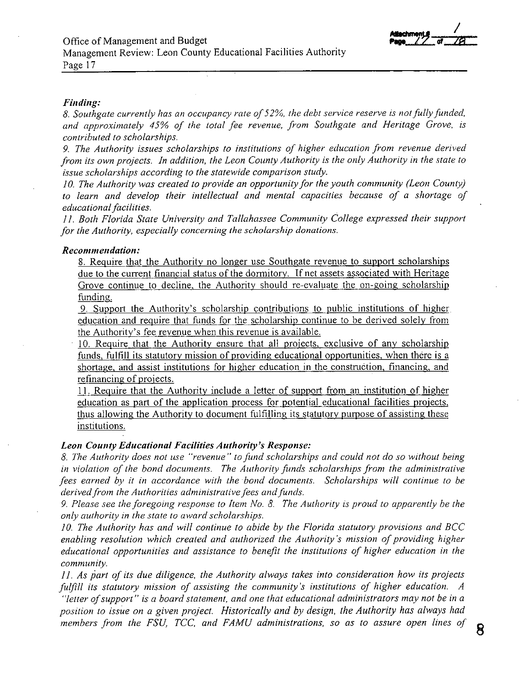

#### *Finding:*

*8. Southgate currently has an occupancy rate o/52%, the debt service reserve is not fully funded, and approximately 45% of the total fee revenue, from Southgate and Heritage Grove, is contributed to scholarships.* 

*9. The Authority issues scholarships to institutions of higher education from revenue derived from its own projects. In addition, the Leon County Authority is the only Authority in the state to issue scholarships according to the statewide comparison study.* 

*10. The Authority was created to provide an opportunity for the youth community (Leon County)*  to learn and develop their intellectual and mental capacities because of a shortage of *educational facilities.* 

*11. Both Florida State University and Tallahassee Community College expressed their support for the Authority, especially concerning the scholarship donations.* 

## *Recommendation:*

8. Require that the Authority no longer use Southgate revenue to support scholarships due to the current financial status of the dormitory. If net assets associated with Heritage Grove continue to decline, the Authority should re-evaluate the on-going scholarship funding.

9. Support the Authority's scholarship contributions to public institutions of higher education and require that funds for the scholarship continue to be derived solely from the Authority's fee revenue when this revenue is available.

10. Require that the Authority ensure that all projects, exclusive of any scholarship funds, fulfill its statutory mission of providing educational opportunities, when there is a shortage, and assist institutions for higher education in the construction, financing, and refinancing of projects.

11. Require that the Authority include a letter of support from an institution of higher education as part of the application process for potential educational facilities projects, thus allowing the Authority to document fulfilling its statutory purpose of assisting these institutions.

## **Leon County Educational Facilities Authority's Response:**

*8. The Authority does not use "revenue" to fund scholarships and could not do so without being in violation of the bond documents. The Authority funds scholarships from the administrative fees earned by it in accordance with the bond documents. Scholarships will continue to be derived from the Authorities administrative fees and funds.* 

*9. Please see the foregoing response to Item No. 8. The Authority is proud to apparently be the only authority in the state to award scholarships.* 

*JO. The Authority has and will continue to abide by the Florida statutory provisions and BCC enabling resolution which created and authorized the Authority's mission of providing higher educational opportunities and assistance to benefit the institutions of higher education in the community.* 

*11. As part of its due diligence, the Authority always takes into consideration how its projects fulfill its statutory mission of assisting the community's institutions of higher education. A "letter ofsupport" is a board statement, and one that educational administrators may not be in a position to issue on a given project. Historically and by design, the Authority has always had members from the FSU, TCC, and FAMU administrations, so as to assure open lines of* **B**